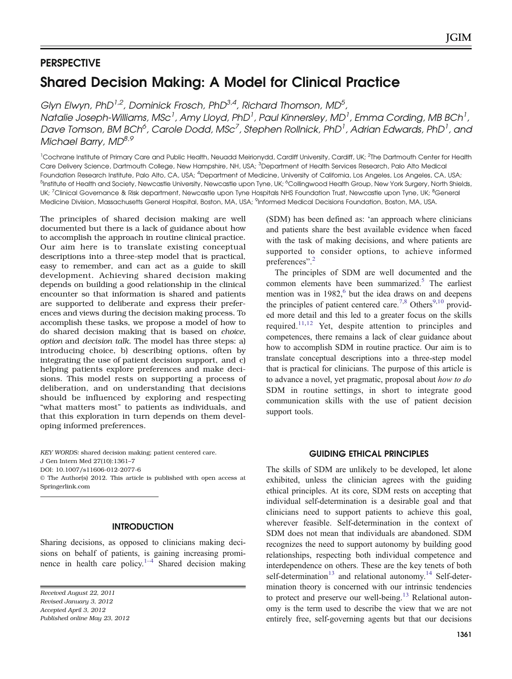# **PERSPECTIVE**

# Shared Decision Making: A Model for Clinical Practice

Glyn Elwyn, PhD<sup>1,2</sup>, Dominick Frosch, PhD $^{3,4}$ , Richard Thomson, MD<sup>5</sup>,

Natalie Joseph-Williams, MSc<sup>1</sup>, Amy Lloyd, PhD<sup>1</sup>, Paul Kinnersley, MD<sup>1</sup>, Emma Cording, MB BCh<sup>1</sup>, Dave Tomson, BM BCh $^6$ , Carole Dodd, MSc $^7$ , Stephen Rollnick, PhD $^1$ , Adrian Edwards, PhD $^1$ , and Michael Barry, MD<sup>8,9</sup>

<sup>1</sup>Cochrane Institute of Primary Care and Public Health, Neuadd Meirionydd, Cardiff University, Cardiff, UK; <sup>2</sup>The Dartmouth Center for Health Care Delivery Science, Dartmouth College, New Hampshire, NH, USA; <sup>3</sup>Department of Health Services Research, Palo Alto Medical Foundation Research Institute, Palo Alto, CA, USA; <sup>4</sup>Department of Medicine, University of California, Los Angeles, Los Angeles, CA, USA; <sup>5</sup>Institute of Health and Society, Newcastle University, Newcastle upon Tyne, UK; <sup>6</sup>Collingwood Health Group, New York Surgery, North Shields, UK; <sup>7</sup>Clinical Governance & Risk department, Newcastle upon Tyne Hospitals NHS Foundation Trust, Newcastle upon Tyne, UK; <sup>8</sup>General Medicine Division, Massachusetts General Hospital, Boston, MA, USA; <sup>9</sup>Informed Medical Decisions Foundation, Boston, MA, USA.

The principles of shared decision making are well documented but there is a lack of guidance about how to accomplish the approach in routine clinical practice. Our aim here is to translate existing conceptual descriptions into a three-step model that is practical, easy to remember, and can act as a guide to skill development. Achieving shared decision making depends on building a good relationship in the clinical encounter so that information is shared and patients are supported to deliberate and express their preferences and views during the decision making process. To accomplish these tasks, we propose a model of how to do shared decision making that is based on choice, option and decision talk. The model has three steps: a) introducing choice, b) describing options, often by integrating the use of patient decision support, and c) helping patients explore preferences and make decisions. This model rests on supporting a process of deliberation, and on understanding that decisions should be influenced by exploring and respecting "what matters most" to patients as individuals, and that this exploration in turn depends on them developing informed preferences.

KEY WORDS: shared decision making; patient centered care. J Gen Intern Med 27(10):1361–7 DOI: 10.1007/s11606-012-2077-6 © The Author(s) 2012. This article is published with open access at Springerlink.com

# **INTRODUCTION**

Sharing decisions, as opposed to clinicians making decisions on behalf of patients, is gaining increasing prominence in health care policy. $1-4$  $1-4$  Shared decision making

Received August 22, 2011 Revised January 3, 2012 Accepted April 3, 2012 Published online May 23, 2012 (SDM) has been defined as: 'an approach where clinicians and patients share the best available evidence when faced with the task of making decisions, and where patients are supported to consider options, to achieve informed preferences". [2](#page-5-0)

The principles of SDM are well documented and the common elements have been summarized. $5$  The earliest mention was in  $1982$ <sup>[6](#page-5-0)</sup>, but the idea draws on and deepens the principles of patient centered care.<sup>[7,8](#page-5-0)</sup> Others<sup>[9,10](#page-5-0)</sup> provided more detail and this led to a greater focus on the skills required.<sup>[11,12](#page-5-0)</sup> Yet, despite attention to principles and competences, there remains a lack of clear guidance about how to accomplish SDM in routine practice. Our aim is to translate conceptual descriptions into a three-step model that is practical for clinicians. The purpose of this article is to advance a novel, yet pragmatic, proposal about how to do SDM in routine settings, in short to integrate good communication skills with the use of patient decision support tools.

# GUIDING ETHICAL PRINCIPLES

The skills of SDM are unlikely to be developed, let alone exhibited, unless the clinician agrees with the guiding ethical principles. At its core, SDM rests on accepting that individual self-determination is a desirable goal and that clinicians need to support patients to achieve this goal, wherever feasible. Self-determination in the context of SDM does not mean that individuals are abandoned. SDM recognizes the need to support autonomy by building good relationships, respecting both individual competence and interdependence on others. These are the key tenets of both self-determination<sup>[13](#page-5-0)</sup> and relational autonomy.<sup>14</sup> Self-determination theory is concerned with our intrinsic tendencies to protect and preserve our well-being.<sup>[13](#page-5-0)</sup> Relational autonomy is the term used to describe the view that we are not entirely free, self-governing agents but that our decisions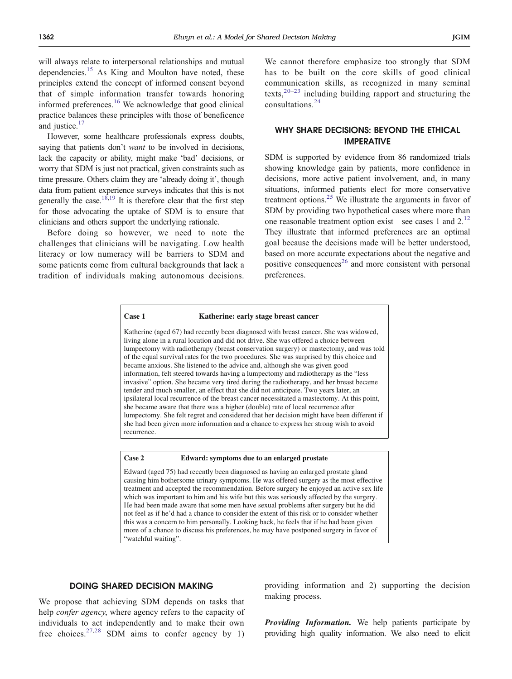will always relate to interpersonal relationships and mutual dependencies.<sup>[15](#page-5-0)</sup> As King and Moulton have noted, these principles extend the concept of informed consent beyond that of simple information transfer towards honoring informed preferences.<sup>[16](#page-5-0)</sup> We acknowledge that good clinical practice balances these principles with those of beneficence and justice.<sup>[17](#page-5-0)</sup>

However, some healthcare professionals express doubts, saying that patients don't *want* to be involved in decisions, lack the capacity or ability, might make 'bad' decisions, or worry that SDM is just not practical, given constraints such as time pressure. Others claim they are 'already doing it', though data from patient experience surveys indicates that this is not generally the case.<sup>18,19</sup> It is therefore clear that the first step for those advocating the uptake of SDM is to ensure that clinicians and others support the underlying rationale.

Before doing so however, we need to note the challenges that clinicians will be navigating. Low health literacy or low numeracy will be barriers to SDM and some patients come from cultural backgrounds that lack a tradition of individuals making autonomous decisions.

We cannot therefore emphasize too strongly that SDM has to be built on the core skills of good clinical communication skills, as recognized in many seminal texts, $20-23$  $20-23$  $20-23$  including building rapport and structuring the consultations.[24](#page-5-0)

# WHY SHARE DECISIONS: BEYOND THE ETHICAL IMPERATIVE

SDM is supported by evidence from 86 randomized trials showing knowledge gain by patients, more confidence in decisions, more active patient involvement, and, in many situations, informed patients elect for more conservative treatment options. $25$  We illustrate the arguments in favor of SDM by providing two hypothetical cases where more than one reasonable treatment option exist—see cases 1 and 2.[12](#page-5-0) They illustrate that informed preferences are an optimal goal because the decisions made will be better understood, based on more accurate expectations about the negative and positive consequences<sup>[26](#page-5-0)</sup> and more consistent with personal preferences.

#### Case 1 **Katherine: early stage breast cancer**

Katherine (aged 67) had recently been diagnosed with breast cancer. She was widowed, living alone in a rural location and did not drive. She was offered a choice between lumpectomy with radiotherapy (breast conservation surgery) or mastectomy, and was told of the equal survival rates for the two procedures. She was surprised by this choice and became anxious. She listened to the advice and, although she was given good information, felt steered towards having a lumpectomy and radiotherapy as the "less invasive" option. She became very tired during the radiotherapy, and her breast became tender and much smaller, an effect that she did not anticipate. Two years later, an ipsilateral local recurrence of the breast cancer necessitated a mastectomy. At this point, she became aware that there was a higher (double) rate of local recurrence after lumpectomy. She felt regret and considered that her decision might have been different if she had been given more information and a chance to express her strong wish to avoid recurrence.

#### **Case 2 Edward: symptoms due to an enlarged prostate**

Edward (aged 75) had recently been diagnosed as having an enlarged prostate gland causing him bothersome urinary symptoms. He was offered surgery as the most effective treatment and accepted the recommendation. Before surgery he enjoyed an active sex life which was important to him and his wife but this was seriously affected by the surgery. He had been made aware that some men have sexual problems after surgery but he did not feel as if he'd had a chance to consider the extent of this risk or to consider whether this was a concern to him personally. Looking back, he feels that if he had been given more of a chance to discuss his preferences, he may have postponed surgery in favor of "watchful waiting"

# DOING SHARED DECISION MAKING

We propose that achieving SDM depends on tasks that help *confer agency*, where agency refers to the capacity of individuals to act independently and to make their own free choices.<sup>[27,28](#page-5-0)</sup> SDM aims to confer agency by 1) providing information and 2) supporting the decision making process.

Providing Information. We help patients participate by providing high quality information. We also need to elicit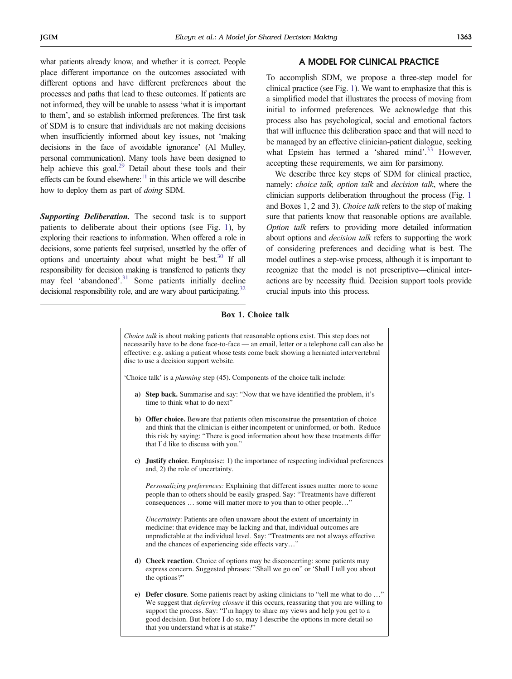what patients already know, and whether it is correct. People place different importance on the outcomes associated with different options and have different preferences about the processes and paths that lead to these outcomes. If patients are not informed, they will be unable to assess 'what it is important to them', and so establish informed preferences. The first task of SDM is to ensure that individuals are not making decisions when insufficiently informed about key issues, not 'making decisions in the face of avoidable ignorance' (Al Mulley, personal communication). Many tools have been designed to help achieve this goal.<sup>29</sup> Detail about these tools and their effects can be found elsewhere: $11$  in this article we will describe how to deploy them as part of doing SDM.

**Supporting Deliberation.** The second task is to support patients to deliberate about their options (see Fig. [1](#page-4-0)), by exploring their reactions to information. When offered a role in decisions, some patients feel surprised, unsettled by the offer of options and uncertainty about what might be best. $30$  If all responsibility for decision making is transferred to patients they may feel 'abandoned'.<sup>[31](#page-6-0)</sup> Some patients initially decline decisional responsibility role, and are wary about participating.<sup>32</sup>

# A MODEL FOR CLINICAL PRACTICE

To accomplish SDM, we propose a three-step model for clinical practice (see Fig. [1\)](#page-4-0). We want to emphasize that this is a simplified model that illustrates the process of moving from initial to informed preferences. We acknowledge that this process also has psychological, social and emotional factors that will influence this deliberation space and that will need to be managed by an effective clinician-patient dialogue, seeking what Epstein has termed a 'shared mind'.<sup>[33](#page-6-0)</sup> However, accepting these requirements, we aim for parsimony.

We describe three key steps of SDM for clinical practice, namely: choice talk, option talk and decision talk, where the clinician supports deliberation throughout the process (Fig. [1](#page-4-0) and Boxes 1, 2 and 3). Choice talk refers to the step of making sure that patients know that reasonable options are available. Option talk refers to providing more detailed information about options and decision talk refers to supporting the work of considering preferences and deciding what is best. The model outlines a step-wise process, although it is important to recognize that the model is not prescriptive—clinical interactions are by necessity fluid. Decision support tools provide crucial inputs into this process.

### Box 1. Choice talk

|                                                                                     | <i>Choice talk</i> is about making patients that reasonable options exist. This step does not<br>necessarily have to be done face-to-face — an email, letter or a telephone call can also be<br>effective: e.g. asking a patient whose tests come back showing a herniated intervertebral<br>disc to use a decision support website.                                                                           |  |
|-------------------------------------------------------------------------------------|----------------------------------------------------------------------------------------------------------------------------------------------------------------------------------------------------------------------------------------------------------------------------------------------------------------------------------------------------------------------------------------------------------------|--|
| Choice talk' is a <i>planning</i> step (45). Components of the choice talk include: |                                                                                                                                                                                                                                                                                                                                                                                                                |  |
|                                                                                     | a) Step back. Summarise and say: "Now that we have identified the problem, it's<br>time to think what to do next"                                                                                                                                                                                                                                                                                              |  |
|                                                                                     | b) Offer choice. Beware that patients often misconstrue the presentation of choice<br>and think that the clinician is either incompetent or uninformed, or both. Reduce<br>this risk by saying: "There is good information about how these treatments differ<br>that I'd like to discuss with you."                                                                                                            |  |
|                                                                                     | c) Justify choice. Emphasise: 1) the importance of respecting individual preferences<br>and, 2) the role of uncertainty.                                                                                                                                                                                                                                                                                       |  |
|                                                                                     | <i>Personalizing preferences:</i> Explaining that different issues matter more to some<br>people than to others should be easily grasped. Say: "Treatments have different<br>consequences  some will matter more to you than to other people"                                                                                                                                                                  |  |
|                                                                                     | Uncertainty: Patients are often unaware about the extent of uncertainty in<br>medicine: that evidence may be lacking and that, individual outcomes are<br>unpredictable at the individual level. Say: "Treatments are not always effective<br>and the chances of experiencing side effects vary"                                                                                                               |  |
|                                                                                     | <b>d)</b> Check reaction. Choice of options may be disconcerting: some patients may<br>express concern. Suggested phrases: "Shall we go on" or 'Shall I tell you about<br>the options?"                                                                                                                                                                                                                        |  |
|                                                                                     | <b>e)</b> Defer closure. Some patients react by asking clinicians to "tell me what to do $\dots$ "<br>We suggest that <i>deferring closure</i> if this occurs, reassuring that you are willing to<br>support the process. Say: "I'm happy to share my views and help you get to a<br>good decision. But before I do so, may I describe the options in more detail so<br>that you understand what is at stake?" |  |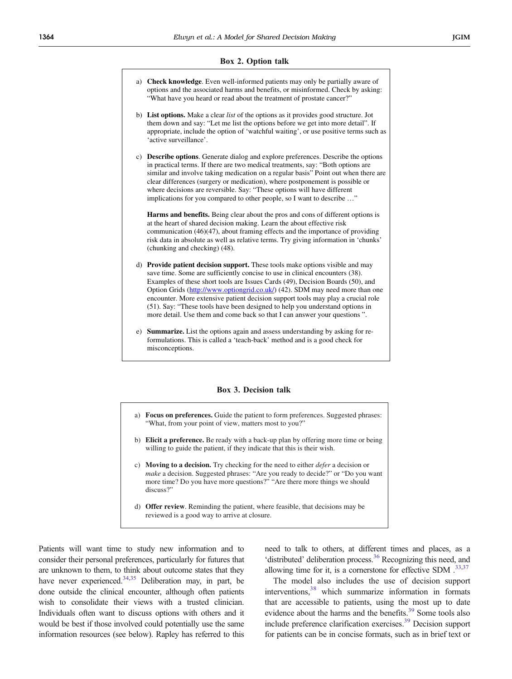#### Box 2. Option talk

- a) **Check knowledge**. Even well-informed patients may only be partially aware of options and the associated harms and benefits, or misinformed. Check by asking: "What have you heard or read about the treatment of prostate cancer?"
- b) **List options.** Make a clear *list* of the options as it provides good structure. Jot them down and say: "Let me list the options before we get into more detail". If appropriate, include the option of 'watchful waiting', or use positive terms such as 'active surveillance'.
- c) **Describe options**. Generate dialog and explore preferences. Describe the options in practical terms. If there are two medical treatments, say: "Both options are similar and involve taking medication on a regular basis" Point out when there are clear differences (surgery or medication), where postponement is possible or where decisions are reversible. Say: "These options will have different implications for you compared to other people, so I want to describe ...'

**Harms and benefits.** Being clear about the pros and cons of different options is at the heart of shared decision making. Learn the about effective risk communication (46)(47), about framing effects and the importance of providing risk data in absolute as well as relative terms. Try giving information in 'chunks' (chunking and checking) (48).

- d) **Provide patient decision support.** These tools make options visible and may save time. Some are sufficiently concise to use in clinical encounters (38). Examples of these short tools are Issues Cards (49), Decision Boards (50), and Option Grids (http://www.optiongrid.co.uk/) (42). SDM may need more than one encounter. More extensive patient decision support tools may play a crucial role (51). Say: "These tools have been designed to help you understand options in more detail. Use them and come back so that I can answer your questions ".
- e) **Summarize.** List the options again and assess understanding by asking for reformulations. This is called a 'teach-back' method and is a good check for misconceptions.

#### Box 3. Decision talk

- a) **Focus on preferences.** Guide the patient to form preferences. Suggested phrases: "What, from your point of view, matters most to you?"
- b) **Elicit a preference.** Be ready with a back-up plan by offering more time or being willing to guide the patient, if they indicate that this is their wish.
- c) **Moving to a decision.** Try checking for the need to either *defer* a decision or *make* a decision. Suggested phrases: "Are you ready to decide?" or "Do you want more time? Do you have more questions?" "Are there more things we should discuss?"
- d) **Offer review**. Reminding the patient, where feasible, that decisions may be reviewed is a good way to arrive at closure.

Patients will want time to study new information and to consider their personal preferences, particularly for futures that are unknown to them, to think about outcome states that they have never experienced.<sup>[34,35](#page-6-0)</sup> Deliberation may, in part, be done outside the clinical encounter, although often patients wish to consolidate their views with a trusted clinician. Individuals often want to discuss options with others and it would be best if those involved could potentially use the same information resources (see below). Rapley has referred to this need to talk to others, at different times and places, as a 'distributed' deliberation process[.36](#page-6-0) Recognizing this need, and allowing time for it, is a cornerstone for effective SDM  $^{33,37}$  $^{33,37}$  $^{33,37}$ 

The model also includes the use of decision support interventions,[38](#page-6-0) which summarize information in formats that are accessible to patients, using the most up to date evidence about the harms and the benefits.<sup>39</sup> Some tools also include preference clarification exercises[.39](#page-6-0) Decision support for patients can be in concise formats, such as in brief text or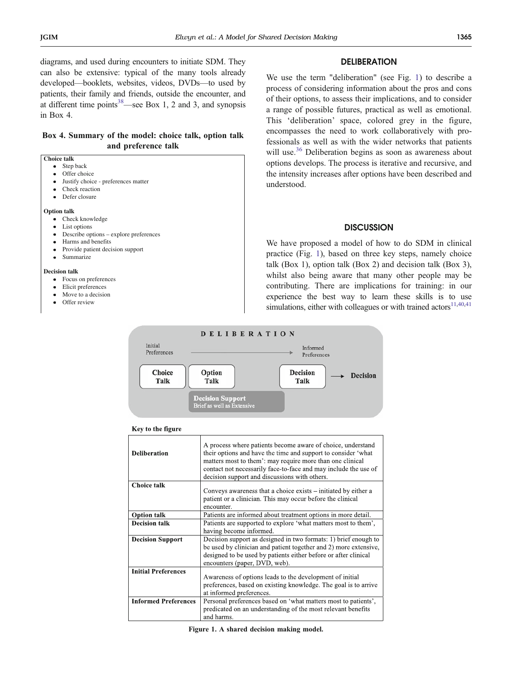<span id="page-4-0"></span>diagrams, and used during encounters to initiate SDM. They can also be extensive: typical of the many tools already developed—booklets, websites, videos, DVDs—to used by patients, their family and friends, outside the encounter, and at different time points $38$ —see Box 1, 2 and 3, and synopsis in Box 4.

# Box 4. Summary of the model: choice talk, option talk and preference talk

# **Choice talk**

- Step back
- Offer choice Justify choice - preferences matter
- Check reaction
- Defer closure

#### **Option talk**

- Check knowledge
- List options
- Describe options explore preferences
- Harms and benefits
- Provide patient decision support
- Summarize

#### **Decision talk**

- Focus on preferences
- Elicit preferences
- Move to a decision
- Offer review  $\blacksquare$

#### DELIBERATION

We use the term "deliberation" (see Fig. 1) to describe a process of considering information about the pros and cons of their options, to assess their implications, and to consider a range of possible futures, practical as well as emotional. This 'deliberation' space, colored grey in the figure, encompasses the need to work collaboratively with professionals as well as with the wider networks that patients will use.<sup>[36](#page-6-0)</sup> Deliberation begins as soon as awareness about options develops. The process is iterative and recursive, and the intensity increases after options have been described and understood.

### **DISCUSSION**

We have proposed a model of how to do SDM in clinical practice (Fig. 1), based on three key steps, namely choice talk (Box 1), option talk (Box 2) and decision talk (Box 3), whilst also being aware that many other people may be contributing. There are implications for training: in our experience the best way to learn these skills is to use simulations, either with colleagues or with trained actors $11,40,41$  $11,40,41$ 



#### Key to the figure

| <b>Deliberation</b>         | A process where patients become aware of choice, understand<br>their options and have the time and support to consider 'what<br>matters most to them': may require more than one clinical<br>contact not necessarily face-to-face and may include the use of<br>decision support and discussions with others. |
|-----------------------------|---------------------------------------------------------------------------------------------------------------------------------------------------------------------------------------------------------------------------------------------------------------------------------------------------------------|
| <b>Choice talk</b>          | Conveys awareness that a choice exists – initiated by either a<br>patient or a clinician. This may occur before the clinical<br>encounter.                                                                                                                                                                    |
| <b>Option talk</b>          | Patients are informed about treatment options in more detail.                                                                                                                                                                                                                                                 |
| <b>Decision talk</b>        | Patients are supported to explore 'what matters most to them',<br>having become informed.                                                                                                                                                                                                                     |
| <b>Decision Support</b>     | Decision support as designed in two formats: 1) brief enough to<br>be used by clinician and patient together and 2) more extensive,<br>designed to be used by patients either before or after clinical<br>encounters (paper, DVD, web).                                                                       |
| <b>Initial Preferences</b>  | Awareness of options leads to the development of initial<br>preferences, based on existing knowledge. The goal is to arrive<br>at informed preferences.                                                                                                                                                       |
| <b>Informed Preferences</b> | Personal preferences based on 'what matters most to patients',<br>predicated on an understanding of the most relevant benefits<br>and harms.                                                                                                                                                                  |

Figure 1. A shared decision making model.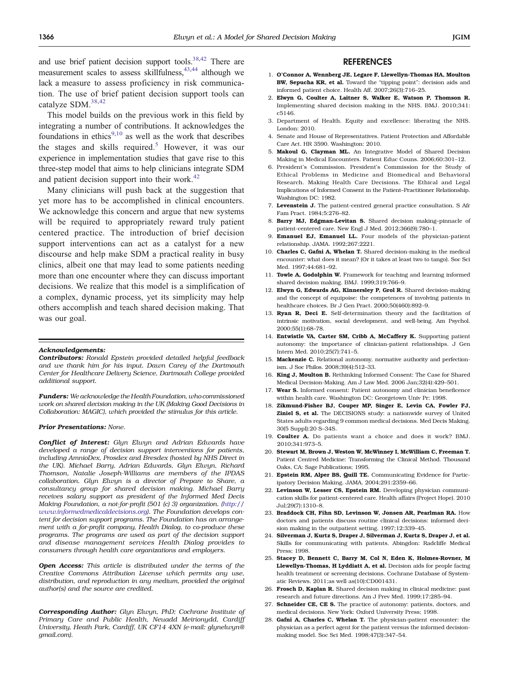<span id="page-5-0"></span>and use brief patient decision support tools.<sup>38,42</sup> There are measurement scales to assess skillfulness, <sup>[43](#page-6-0),[44](#page-6-0)</sup> although we lack a measure to assess proficiency in risk communication. The use of brief patient decision support tools can catalyze SDM.[38,42](#page-6-0)

This model builds on the previous work in this field by integrating a number of contributions. It acknowledges the foundations in ethics $9,10$  as well as the work that describes the stages and skills required.<sup>5</sup> However, it was our experience in implementation studies that gave rise to this three-step model that aims to help clinicians integrate SDM and patient decision support into their work.<sup>[42](#page-6-0)</sup>

Many clinicians will push back at the suggestion that yet more has to be accomplished in clinical encounters. We acknowledge this concern and argue that new systems will be required to appropriately reward truly patient centered practice. The introduction of brief decision support interventions can act as a catalyst for a new discourse and help make SDM a practical reality in busy clinics, albeit one that may lead to some patients needing more than one encounter where they can discuss important decisions. We realize that this model is a simplification of a complex, dynamic process, yet its simplicity may help others accomplish and teach shared decision making. That was our goal.

#### Acknowledgements:

Contributors: Ronald Epstein provided detailed helpful feedback and we thank him for his input. Dawn Carey of the Dartmouth Center for Healthcare Delivery Science, Dartmouth College provided additional support.

Funders: We acknowledge the Health Foundation, who commissioned work on shared decision making in the UK (Making Good Decisions in Collaboration: MAGIC), which provided the stimulus for this article.

#### Prior Presentations: None.

Conflict of Interest: Glyn Elwyn and Adrian Edwards have developed a range of decision support interventions for patients, including AmnioDex, Prosdex and Bresdex (hosted by NHS Direct in the UK). Michael Barry, Adrian Edwards, Glyn Elwyn, Richard Thomson, Natalie Joseph-Williams are members of the IPDAS collaboration. Glyn Elwyn is a director of Prepare to Share, a consultancy group for shared decision making. Michael Barry receives salary support as president of the Informed Med Decis Making Foundation, a not-for-profit (501 (c) 3) organization. [\(http://](http://www.informedmedicaldecisions.org) [www.informedmedicaldecisions.org\)](http://www.informedmedicaldecisions.org). The Foundation develops content for decision support programs. The Foundation has an arrangement with a for-profit company, Health Dialog, to co-produce these programs. The programs are used as part of the decision support and disease management services Health Dialog provides to consumers through health care organizations and employers.

Open Access: This article is distributed under the terms of the Creative Commons Attribution License which permits any use, distribution, and reproduction in any medium, provided the original author(s) and the source are credited.

Corresponding Author: Glyn Elwyn, PhD; Cochrane Institute of Primary Care and Public Health, Neuadd Meirionydd, Cardiff University, Heath Park, Cardiff, UK CF14 4XN (e-mail: glynelwyn@ gmail.com).

### **REFERENCES**

- 1. O'Connor A, Wennberg JE, Legare F, Llewellyn-Thomas HA, Moulton BW, Sepucha KR, et al. Toward the "tipping point": decision aids and informed patient choice. Health Aff. 2007;26(3):716–25.
- 2. Elwyn G, Coulter A, Laitner S, Walker E, Watson P, Thomson R. Implementing shared decision making in the NHS. BMJ. 2010;341: c5146.
- 3. Department of Health. Equity and excellence: liberating the NHS. London: 2010.
- 4. Senate and House of Representatives. Patient Protection and Affordable Care Act. HR 3590. Washington: 2010.
- Makoul G, Clayman ML. An Integrative Model of Shared Decision Making in Medical Encounters. Patient Educ Couns. 2006;60:301–12.
- 6. President's Commission. President's Commission for the Study of Ethical Problems in Medicine and Biomedical and Behavioral Research. Making Health Care Decisions. The Ethical and Legal Implications of Informed Consent in the Patient–Practitioner Relationship. Washington DC: 1982.
- 7. Levenstein J. The patient-centred general practice consultation. S Afr Fam Pract. 1984;5:276–82.
- 8. Barry MJ, Edgman-Levitan S. Shared decision making–pinnacle of patient-centered care. New Engl J Med. 2012;366(9):780–1.
- 9. Emanuel EJ, Emanuel LL. Four models of the physician-patient relationship. JAMA. 1992;267:2221.
- 10. Charles C, Gafni A, Whelan T. Shared decision-making in the medical encounter: what does it mean? (Or it takes at least two to tango). Soc Sci Med. 1997;44:681–92.
- 11. Towle A, Godolphin W. Framework for teaching and learning informed shared decision making. BMJ. 1999;319:766–9.
- 12. Elwyn G, Edwards AG, Kinnersley P, Grol R. Shared decision-making and the concept of equipoise: the competences of involving patients in healthcare choices. Br J Gen Pract. 2000;50(460):892–9.
- 13. Ryan R, Deci E. Self-determination theory and the facilitation of intrinsic motivation, social development, and well-being. Am Psychol. 2000;55(1):68–78.
- 14. Entwistle VA, Carter SM, Cribb A, McCaffery K. Supporting patient autonomy: the importance of clinician-patient relationships. J Gen Intern Med. 2010;25(7):741–5.
- 15. Mackenzie C. Relational autonomy, normative authority and perfectionism. J Soc Philos. 2008;39(4):512–33.
- 16. King J, Moulton B. Rethinking Informed Consent: The Case for Shared Medical Decision-Making. Am J Law Med. 2006 Jan;32(4):429–501.
- 17. Wear S. Informed consent: Patient autonomy and clinician beneficence within health care. Washington DC: Georgetown Univ Pr; 1998.
- 18. Zikmund-Fisher BJ, Couper MP, Singer E, Levin CA, Fowler FJ, Ziniel S, et al. The DECISIONS study: a nationwide survey of United States adults regarding 9 common medical decisions. Med Decis Making. 30(5 Suppl):20 S–34S.
- 19. Coulter A. Do patients want a choice and does it work? BMJ. 2010;341:973–5.
- 20. Stewart M, Brown J, Weston W, McWinney I, McWilliam C, Freeman T. Patient Centred Medicine: Transforming the Clinical Method. Thousand Oaks, CA: Sage Publications; 1995.
- 21. Epstein RM, Alper BS, Quill TE. Communicating Evidence for Participatory Decision Making. JAMA. 2004;291:2359–66.
- 22. Levinson W, Lesser CS, Epstein RM. Developing physician communication skills for patient-centered care. Health affairs (Project Hope). 2010 Jul;29(7):1310–8.
- 23. Braddock CH, Fihn SD, Levinson W, Jonsen AR, Pearlman RA. How doctors and patients discuss routine clinical decisions: informed decision making in the outpatient setting. 1997;12:339–45.
- 24. Silverman J, Kurtz S, Draper J, Silverman J, Kurtz S, Draper J, et al. Skills for communicating with patients. Abingdon: Radcliffe Medical Press; 1998.
- 25. Stacey D, Bennett C, Barry M, Col N, Eden K, Holmes-Rovner, M Llewellyn-Thomas, H Lyddiatt A, et al. Decision aids for people facing health treatment or screening decisions. Cochrane Database of Systematic Reviews. 2011;as well as(10):CD001431.
- 26. Frosch D, Kaplan R. Shared decision making in clinical medicine: past research and future directions. Am J Prev Med. 1999;17:285–94.
- 27. Schneider CE, CE S. The practice of autonomy: patients, doctors, and medical decisions. New York: Oxford University Press; 1998.
- 28. Gafni A, Charles C, Whelan T. The physician-patient encounter: the physician as a perfect agent for the patient versus the informed decisionmaking model. Soc Sci Med. 1998;47(3):347–54.